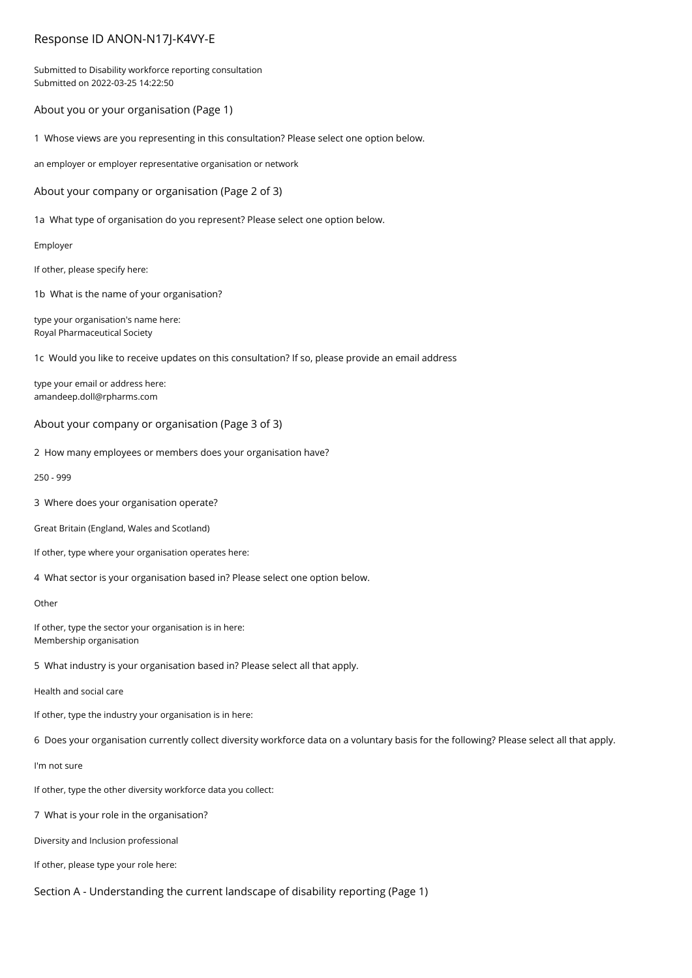# Response ID ANON-N17J-K4VY-E

Submitted to Disability workforce reporting consultation Submitted on 2022-03-25 14:22:50

# About you or your organisation (Page 1)

1 Whose views are you representing in this consultation? Please select one option below.

an employer or employer representative organisation or network

About your company or organisation (Page 2 of 3)

1a What type of organisation do you represent? Please select one option below.

Employer

If other, please specify here:

1b What is the name of your organisation?

type your organisation's name here: Royal Pharmaceutical Society

1c Would you like to receive updates on this consultation? If so, please provide an email address

type your email or address here: amandeep.doll@rpharms.com

# About your company or organisation (Page 3 of 3)

2 How many employees or members does your organisation have?

250 - 999

3 Where does your organisation operate?

Great Britain (England, Wales and Scotland)

If other, type where your organisation operates here:

4 What sector is your organisation based in? Please select one option below.

## Other

If other, type the sector your organisation is in here: Membership organisation

5 What industry is your organisation based in? Please select all that apply.

Health and social care

If other, type the industry your organisation is in here:

6 Does your organisation currently collect diversity workforce data on a voluntary basis for the following? Please select all that apply.

### I'm not sure

If other, type the other diversity workforce data you collect:

7 What is your role in the organisation?

Diversity and Inclusion professional

If other, please type your role here:

Section A - Understanding the current landscape of disability reporting (Page 1)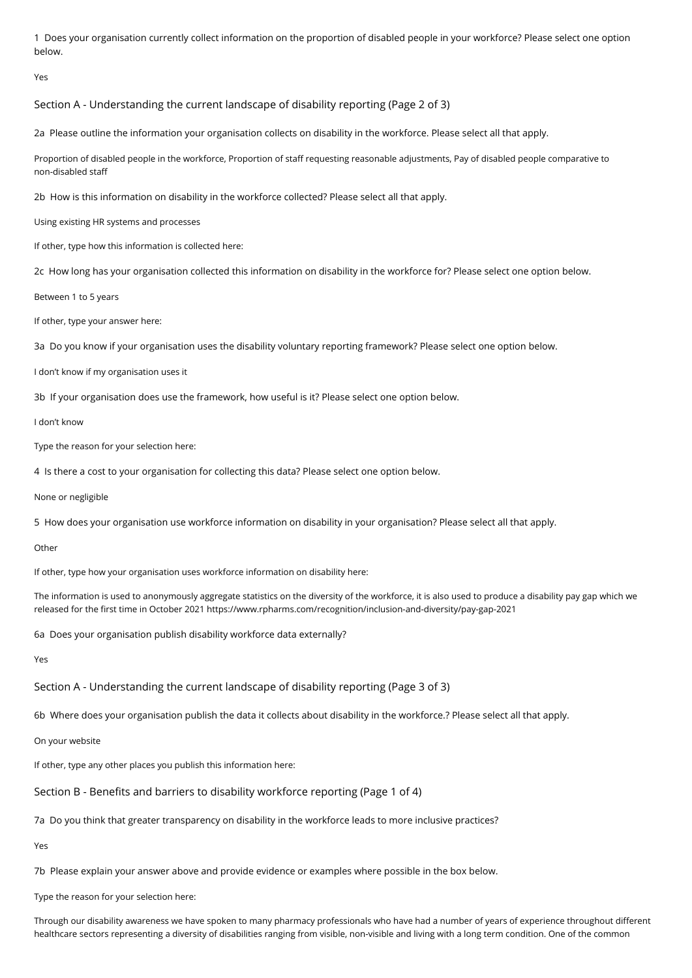1 Does your organisation currently collect information on the proportion of disabled people in your workforce? Please select one option below.

Yes

Section A - Understanding the current landscape of disability reporting (Page 2 of 3)

2a Please outline the information your organisation collects on disability in the workforce. Please select all that apply.

Proportion of disabled people in the workforce, Proportion of staff requesting reasonable adjustments, Pay of disabled people comparative to non-disabled staff

2b How is this information on disability in the workforce collected? Please select all that apply.

Using existing HR systems and processes

If other, type how this information is collected here:

2c How long has your organisation collected this information on disability in the workforce for? Please select one option below.

Between 1 to 5 years

If other, type your answer here:

3a Do you know if your organisation uses the disability voluntary reporting framework? Please select one option below.

I don't know if my organisation uses it

3b If your organisation does use the framework, how useful is it? Please select one option below.

I don't know

Type the reason for your selection here:

4 Is there a cost to your organisation for collecting this data? Please select one option below.

None or negligible

5 How does your organisation use workforce information on disability in your organisation? Please select all that apply.

**Other** 

If other, type how your organisation uses workforce information on disability here:

The information is used to anonymously aggregate statistics on the diversity of the workforce, it is also used to produce a disability pay gap which we released for the first time in October 2021 https://www.rpharms.com/recognition/inclusion-and-diversity/pay-gap-2021

6a Does your organisation publish disability workforce data externally?

Yes

Section A - Understanding the current landscape of disability reporting (Page 3 of 3)

6b Where does your organisation publish the data it collects about disability in the workforce.? Please select all that apply.

On your website

If other, type any other places you publish this information here:

Section B - Benefits and barriers to disability workforce reporting (Page 1 of 4)

7a Do you think that greater transparency on disability in the workforce leads to more inclusive practices?

Yes

7b Please explain your answer above and provide evidence or examples where possible in the box below.

Type the reason for your selection here:

Through our disability awareness we have spoken to many pharmacy professionals who have had a number of years of experience throughout different healthcare sectors representing a diversity of disabilities ranging from visible, non-visible and living with a long term condition. One of the common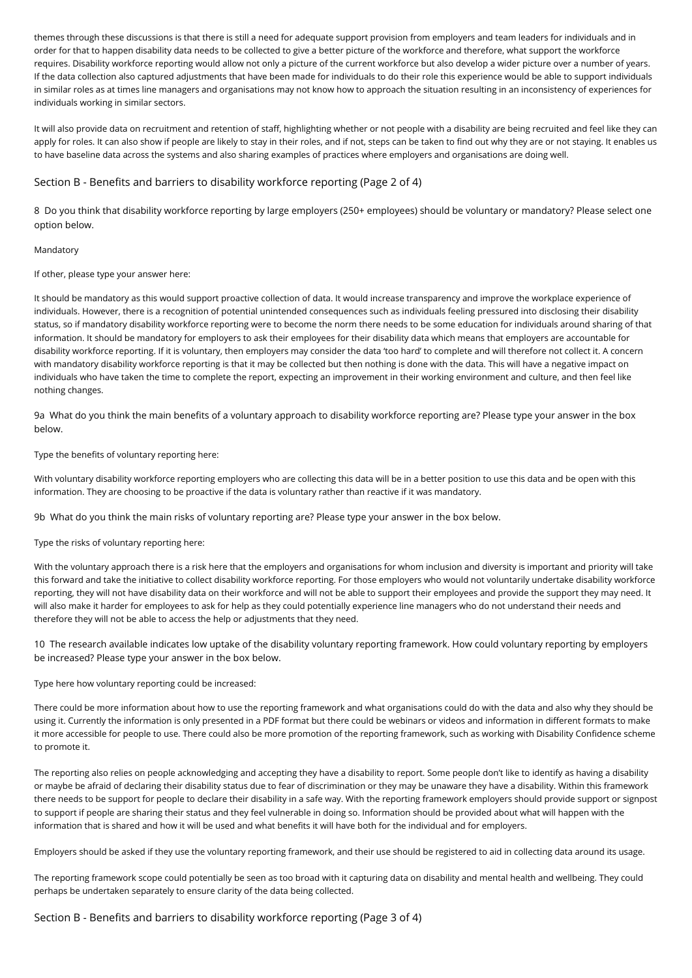themes through these discussions is that there is still a need for adequate support provision from employers and team leaders for individuals and in order for that to happen disability data needs to be collected to give a better picture of the workforce and therefore, what support the workforce requires. Disability workforce reporting would allow not only a picture of the current workforce but also develop a wider picture over a number of years. If the data collection also captured adjustments that have been made for individuals to do their role this experience would be able to support individuals in similar roles as at times line managers and organisations may not know how to approach the situation resulting in an inconsistency of experiences for individuals working in similar sectors.

It will also provide data on recruitment and retention of staff, highlighting whether or not people with a disability are being recruited and feel like they can apply for roles. It can also show if people are likely to stay in their roles, and if not, steps can be taken to find out why they are or not staying. It enables us to have baseline data across the systems and also sharing examples of practices where employers and organisations are doing well.

## Section B - Benefits and barriers to disability workforce reporting (Page 2 of 4)

8 Do you think that disability workforce reporting by large employers (250+ employees) should be voluntary or mandatory? Please select one option below.

### Mandatory

If other, please type your answer here:

It should be mandatory as this would support proactive collection of data. It would increase transparency and improve the workplace experience of individuals. However, there is a recognition of potential unintended consequences such as individuals feeling pressured into disclosing their disability status, so if mandatory disability workforce reporting were to become the norm there needs to be some education for individuals around sharing of that information. It should be mandatory for employers to ask their employees for their disability data which means that employers are accountable for disability workforce reporting. If it is voluntary, then employers may consider the data 'too hard' to complete and will therefore not collect it. A concern with mandatory disability workforce reporting is that it may be collected but then nothing is done with the data. This will have a negative impact on individuals who have taken the time to complete the report, expecting an improvement in their working environment and culture, and then feel like nothing changes.

9a What do you think the main benefits of a voluntary approach to disability workforce reporting are? Please type your answer in the box below.

### Type the benefits of voluntary reporting here:

With voluntary disability workforce reporting employers who are collecting this data will be in a better position to use this data and be open with this information. They are choosing to be proactive if the data is voluntary rather than reactive if it was mandatory.

9b What do you think the main risks of voluntary reporting are? Please type your answer in the box below.

Type the risks of voluntary reporting here:

With the voluntary approach there is a risk here that the employers and organisations for whom inclusion and diversity is important and priority will take this forward and take the initiative to collect disability workforce reporting. For those employers who would not voluntarily undertake disability workforce reporting, they will not have disability data on their workforce and will not be able to support their employees and provide the support they may need. It will also make it harder for employees to ask for help as they could potentially experience line managers who do not understand their needs and therefore they will not be able to access the help or adjustments that they need.

10 The research available indicates low uptake of the disability voluntary reporting framework. How could voluntary reporting by employers be increased? Please type your answer in the box below.

Type here how voluntary reporting could be increased:

There could be more information about how to use the reporting framework and what organisations could do with the data and also why they should be using it. Currently the information is only presented in a PDF format but there could be webinars or videos and information in different formats to make it more accessible for people to use. There could also be more promotion of the reporting framework, such as working with Disability Confidence scheme to promote it.

The reporting also relies on people acknowledging and accepting they have a disability to report. Some people don't like to identify as having a disability or maybe be afraid of declaring their disability status due to fear of discrimination or they may be unaware they have a disability. Within this framework there needs to be support for people to declare their disability in a safe way. With the reporting framework employers should provide support or signpost to support if people are sharing their status and they feel vulnerable in doing so. Information should be provided about what will happen with the information that is shared and how it will be used and what benefits it will have both for the individual and for employers.

Employers should be asked if they use the voluntary reporting framework, and their use should be registered to aid in collecting data around its usage.

The reporting framework scope could potentially be seen as too broad with it capturing data on disability and mental health and wellbeing. They could perhaps be undertaken separately to ensure clarity of the data being collected.

Section B - Benefits and barriers to disability workforce reporting (Page 3 of 4)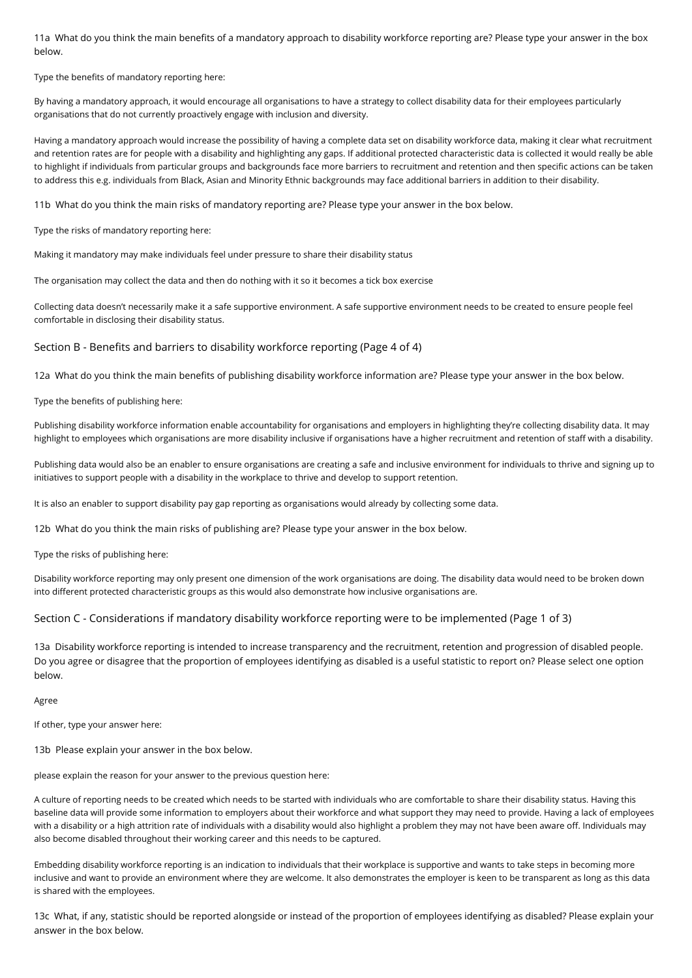11a What do you think the main benefits of a mandatory approach to disability workforce reporting are? Please type your answer in the box below.

Type the benefits of mandatory reporting here:

By having a mandatory approach, it would encourage all organisations to have a strategy to collect disability data for their employees particularly organisations that do not currently proactively engage with inclusion and diversity.

Having a mandatory approach would increase the possibility of having a complete data set on disability workforce data, making it clear what recruitment and retention rates are for people with a disability and highlighting any gaps. If additional protected characteristic data is collected it would really be able to highlight if individuals from particular groups and backgrounds face more barriers to recruitment and retention and then specific actions can be taken to address this e.g. individuals from Black, Asian and Minority Ethnic backgrounds may face additional barriers in addition to their disability.

11b What do you think the main risks of mandatory reporting are? Please type your answer in the box below.

Type the risks of mandatory reporting here:

Making it mandatory may make individuals feel under pressure to share their disability status

The organisation may collect the data and then do nothing with it so it becomes a tick box exercise

Collecting data doesn't necessarily make it a safe supportive environment. A safe supportive environment needs to be created to ensure people feel comfortable in disclosing their disability status.

Section B - Benefits and barriers to disability workforce reporting (Page 4 of 4)

12a What do you think the main benefits of publishing disability workforce information are? Please type your answer in the box below.

Type the benefits of publishing here:

Publishing disability workforce information enable accountability for organisations and employers in highlighting they're collecting disability data. It may highlight to employees which organisations are more disability inclusive if organisations have a higher recruitment and retention of staff with a disability.

Publishing data would also be an enabler to ensure organisations are creating a safe and inclusive environment for individuals to thrive and signing up to initiatives to support people with a disability in the workplace to thrive and develop to support retention.

It is also an enabler to support disability pay gap reporting as organisations would already by collecting some data.

12b What do you think the main risks of publishing are? Please type your answer in the box below.

Type the risks of publishing here:

Disability workforce reporting may only present one dimension of the work organisations are doing. The disability data would need to be broken down into different protected characteristic groups as this would also demonstrate how inclusive organisations are.

## Section C - Considerations if mandatory disability workforce reporting were to be implemented (Page 1 of 3)

13a Disability workforce reporting is intended to increase transparency and the recruitment, retention and progression of disabled people. Do you agree or disagree that the proportion of employees identifying as disabled is a useful statistic to report on? Please select one option below.

Agree

If other, type your answer here:

13b Please explain your answer in the box below.

please explain the reason for your answer to the previous question here:

A culture of reporting needs to be created which needs to be started with individuals who are comfortable to share their disability status. Having this baseline data will provide some information to employers about their workforce and what support they may need to provide. Having a lack of employees with a disability or a high attrition rate of individuals with a disability would also highlight a problem they may not have been aware off. Individuals may also become disabled throughout their working career and this needs to be captured.

Embedding disability workforce reporting is an indication to individuals that their workplace is supportive and wants to take steps in becoming more inclusive and want to provide an environment where they are welcome. It also demonstrates the employer is keen to be transparent as long as this data is shared with the employees.

13c What, if any, statistic should be reported alongside or instead of the proportion of employees identifying as disabled? Please explain your answer in the box below.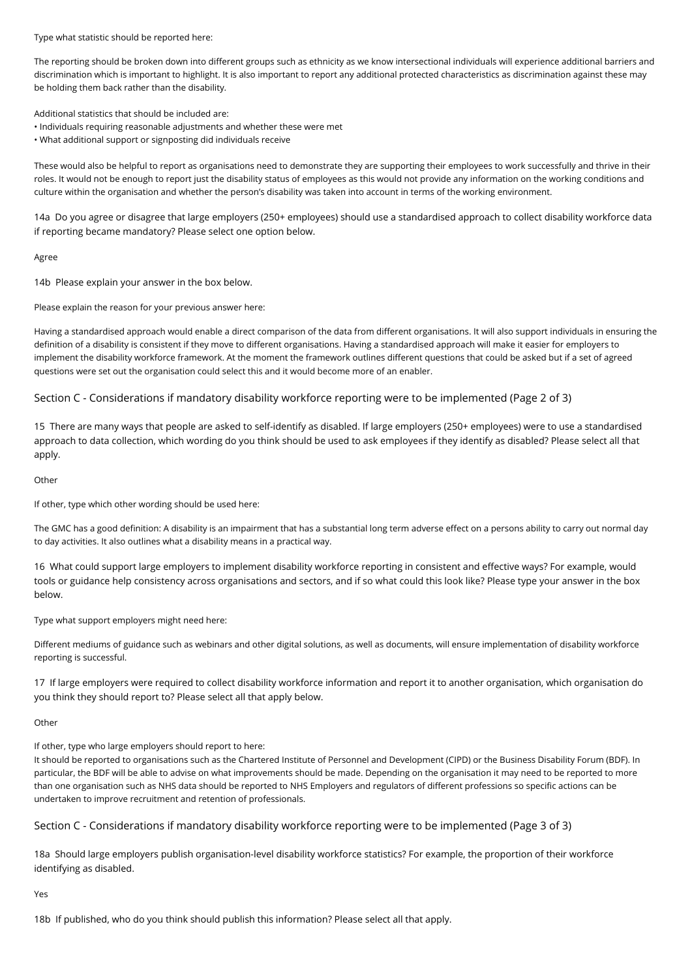Type what statistic should be reported here:

The reporting should be broken down into different groups such as ethnicity as we know intersectional individuals will experience additional barriers and discrimination which is important to highlight. It is also important to report any additional protected characteristics as discrimination against these may be holding them back rather than the disability.

Additional statistics that should be included are:

- Individuals requiring reasonable adjustments and whether these were met
- What additional support or signposting did individuals receive

These would also be helpful to report as organisations need to demonstrate they are supporting their employees to work successfully and thrive in their roles. It would not be enough to report just the disability status of employees as this would not provide any information on the working conditions and culture within the organisation and whether the person's disability was taken into account in terms of the working environment.

14a Do you agree or disagree that large employers (250+ employees) should use a standardised approach to collect disability workforce data if reporting became mandatory? Please select one option below.

#### Agree

14b Please explain your answer in the box below.

Please explain the reason for your previous answer here:

Having a standardised approach would enable a direct comparison of the data from different organisations. It will also support individuals in ensuring the definition of a disability is consistent if they move to different organisations. Having a standardised approach will make it easier for employers to implement the disability workforce framework. At the moment the framework outlines different questions that could be asked but if a set of agreed questions were set out the organisation could select this and it would become more of an enabler.

# Section C - Considerations if mandatory disability workforce reporting were to be implemented (Page 2 of 3)

15 There are many ways that people are asked to self-identify as disabled. If large employers (250+ employees) were to use a standardised approach to data collection, which wording do you think should be used to ask employees if they identify as disabled? Please select all that apply.

### Other

If other, type which other wording should be used here:

The GMC has a good definition: A disability is an impairment that has a substantial long term adverse effect on a persons ability to carry out normal day to day activities. It also outlines what a disability means in a practical way.

16 What could support large employers to implement disability workforce reporting in consistent and effective ways? For example, would tools or guidance help consistency across organisations and sectors, and if so what could this look like? Please type your answer in the box below.

Type what support employers might need here:

Different mediums of guidance such as webinars and other digital solutions, as well as documents, will ensure implementation of disability workforce reporting is successful.

17 If large employers were required to collect disability workforce information and report it to another organisation, which organisation do you think they should report to? Please select all that apply below.

#### Other

If other, type who large employers should report to here:

It should be reported to organisations such as the Chartered Institute of Personnel and Development (CIPD) or the Business Disability Forum (BDF). In particular, the BDF will be able to advise on what improvements should be made. Depending on the organisation it may need to be reported to more than one organisation such as NHS data should be reported to NHS Employers and regulators of different professions so specific actions can be undertaken to improve recruitment and retention of professionals.

## Section C - Considerations if mandatory disability workforce reporting were to be implemented (Page 3 of 3)

18a Should large employers publish organisation-level disability workforce statistics? For example, the proportion of their workforce identifying as disabled.

Yes

18b If published, who do you think should publish this information? Please select all that apply.